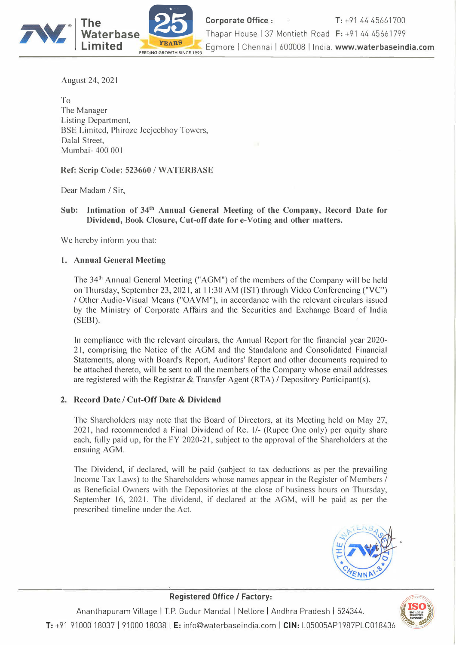

**The Corporate Office:** T: +91 44 45661700 **Corporate Office :** T: +91 44 45661700<br>Thapar House | 37 Montieth Road F: +91 44 45661799 Egmore | Chennai | 600008 | India. www.waterbaseindia.com

August 24, 2021

To The Manager Listing Department, BSE Limited, Phiroze Jeejeebhoy Towers, Dalal Street, Mumbai- 400 00 I

**Ref: Scrip Code: 523660 / WA TERBASE** 

Dear Madam/ Sir,

**Sub: Intimation of 341h Annual General Meeting of the Company, Record Date for Dividend, Book Closure, Cut-off date for e-Voting and other matters.** 

We hereby inform you that:

#### **1. Annual General Meeting**

The 34<sup>th</sup> Annual General Meeting ("AGM") of the members of the Company will be held on Thursday, September 23, 2021, at 11 :30 AM (1ST) through Video Conferencing ("VC") / Other Audio-Visual Means ("OA VM"), in accordance with the relevant circulars issued by the Ministry of Corporate Affairs and the Securities and Exchange Board of India (SEBI).

In compliance with the relevant circulars, the Annual Report for the financial year 2020- 21, comprising the Notice of the AGM and the Standalone and Consolidated Financial Statements, along with Board's Report, Auditors' Report and other documents required to be attached thereto, will be sent to all the members of the Company whose email addresses are registered with the Registrar & Transfer Agent (RT A)/ Depository Participant(s).

#### **2. Record Date/ Cut-Off Date** & **Dividend**

The Shareholders may note that the Board of Directors, at its Meeting held on May 27, 2021, had recommended a Final Dividend of Re. I/- (Rupee One only) per equity share each, fully paid up, for the FY 2020-21, subject to the approval of the Shareholders at the ensuing AGM.

The Dividend, if declared, will be paid (subject to tax deductions as per the prevailing Income Tax Laws) to the Shareholders whose names appear in the Register of Members *I* as Beneficial Owners with the Depositories at the close of business hours on Thursday, September 16, 2021. The dividend, if declared at the AGM, will be paid as per the prescribed timeline under the Act.



t.,,

# $Ananthapuram$  Village | T.P. Gudur Mandal | Nellore | Andhra Pradesh | 524344.



Ananthapuram Village | T.P. Gudur Mandal | Nellore | Andhra Pradesh | 524344.<br><mark>3. هي</mark> هذا 191000 18037 | 91000 18038 | **E:** info@waterbaseindia.com | **CIN:** L05005AP1987PLC018436